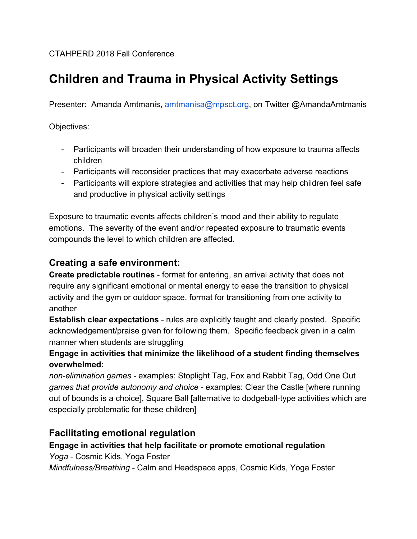#### CTAHPERD 2018 Fall Conference

# **Children and Trauma in Physical Activity Settings**

Presenter: Amanda Amtmanis, [amtmanisa@mpsct.org](mailto:amtmanisa@mpsct.org), on Twitter @AmandaAmtmanis

Objectives:

- Participants will broaden their understanding of how exposure to trauma affects children
- Participants will reconsider practices that may exacerbate adverse reactions
- Participants will explore strategies and activities that may help children feel safe and productive in physical activity settings

Exposure to traumatic events affects children's mood and their ability to regulate emotions. The severity of the event and/or repeated exposure to traumatic events compounds the level to which children are affected.

## **Creating a safe environment:**

**Create predictable routines** - format for entering, an arrival activity that does not require any significant emotional or mental energy to ease the transition to physical activity and the gym or outdoor space, format for transitioning from one activity to another

**Establish clear expectations** - rules are explicitly taught and clearly posted. Specific acknowledgement/praise given for following them. Specific feedback given in a calm manner when students are struggling

#### **Engage in activities that minimize the likelihood of a student finding themselves overwhelmed:**

*non-elimination games* - examples: Stoplight Tag, Fox and Rabbit Tag, Odd One Out *games that provide autonomy and choice* - examples: Clear the Castle [where running out of bounds is a choice], Square Ball [alternative to dodgeball-type activities which are especially problematic for these children]

# **Facilitating emotional regulation**

#### **Engage in activities that help facilitate or promote emotional regulation**

*Yoga* - Cosmic Kids, Yoga Foster

*Mindfulness/Breathing* - Calm and Headspace apps, Cosmic Kids, Yoga Foster